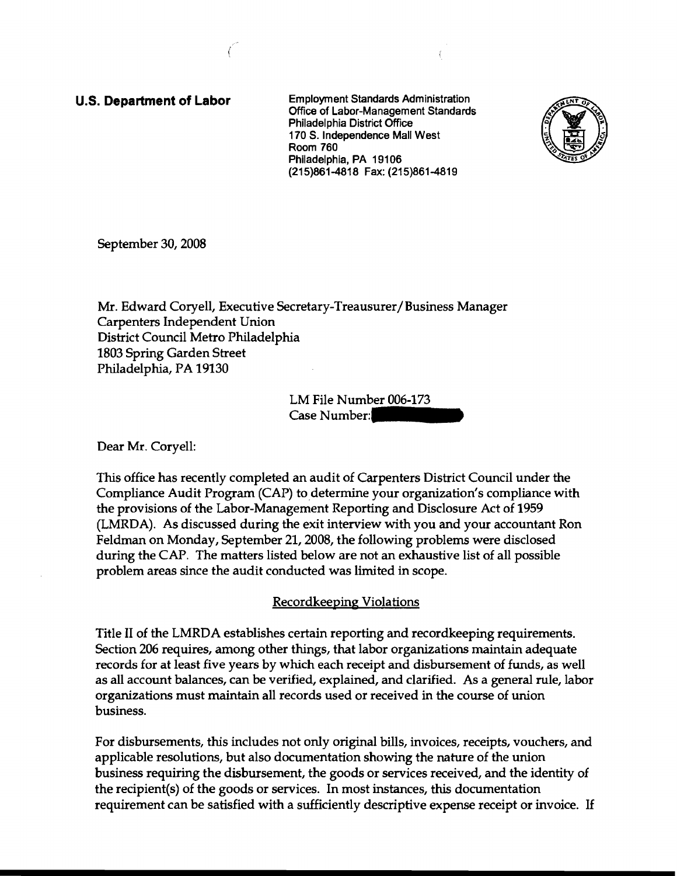u.s. **Department of Labor** Employment Standards Administration Office of Labor-Management Standards Philadelphia District Office 170 S. Independence Mall West Room 760 Philadelphia, PA 19106 (215)861-4818 Fax: (215)861-4819



September 30, 2008

Mr. Edward Coryell, Executive Secretary-Treausurer/Business Manager Carpenters Independent Union District Council Metro Philadelphia 1803 Spring Garden Street Philadelphia, PA 19130

> LM File Number 006-173 Case Number:

Dear Mr. Coryell:

This office has recently completed an audit of Carpenters District Council under the Compliance Audit Program (CAP) to determine your organization's compliance with the provisions of the Labor-Management Reporting and Disclosure Act of 1959 (LMRDA). As discussed during the exit interview with you and your accountant Ron Feldman on Monday, September 21, 2008, the following problems were disclosed during the CAP. The matters listed below are not an exhaustive list of all possible problem areas since the audit conducted was limited in scope.

Recordkeeping Violations

Title II of the LMRDA establishes certain reporting and recordkeeping requirements. Section 206 requires, among other things, that labor organizations maintain adequate records for at least five years by which each receipt and disbursement of funds, as well as all account balances, can be verified, explained, and clarified. As a general rule, labor organizations must maintain all records used or received in the course of union business.

For disbursements, this includes not only original bills, invoices, receipts, vouchers, and applicable resolutions, but also documentation showing the nature of the union business requiring the disbursement, the goods or services received, and the identity of the recipient(s) of the goods or services. In most instances, this documentation requirement can be satisfied with a sufficiently descriptive expense receipt or invoice. If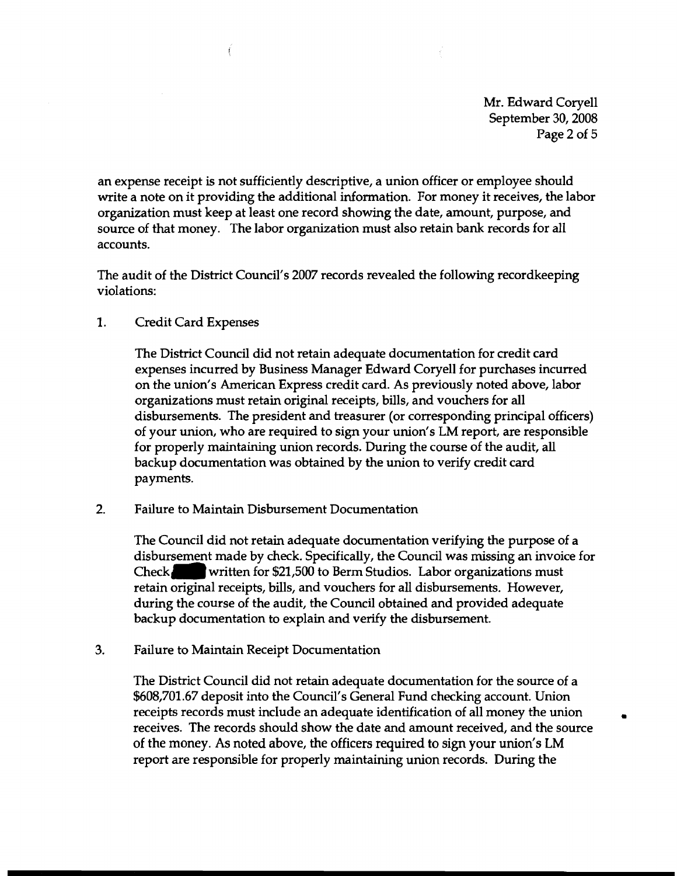Mr. Edward Coryell September 30, 2008 Page 2 of 5

an expense receipt is not sufficiently descriptive, a union officer or employee should write a note on it providing the additional information. For money it receives, the labor organization must keep at least one record showing the date, amount, purpose, and source of that money. The labor organization must also retain bank records for all accounts.

The audit of the District Council's 2007 records revealed the following recordkeeping violations:

1. Credit Card Expenses

ť

The District Council did not retain adequate documentation for credit card expenses incurred by Business Manager Edward Coryell for purchases incurred on the union's American Express credit card. As previously noted above, labor organizations must retain original receipts, bills, and vouchers for all disbursements. The president and treasurer (or corresponding principal officers) of your union, who are required to sign your union's LM report, are responsible for properly maintaining union records. During the course of the audit, all backup documentation was obtained by the union to verify credit card payments.

2. Failure to Maintain Disbursement Documentation

The Council did not retain adequate documentation verifying the purpose of a disbursement made by check. Specifically, the Council was missing an invoice for Check.written for  $$21,500$  to Berm Studios. Labor organizations must retain original receipts, bills, and vouchers for all disbursements. However, during the course of the audit, the Council obtained and provided adequate backup documentation to explain and verify the disbursement.

3. Failure to Maintain Receipt Documentation

The District Council did not retain adequate documentation for the source of a \$608,701.67 deposit into the Council's General Fund checking account. Union receipts records must include an adequate identification of all money the union • receives. The records should show the date and amount received, and the source of the money. As noted above, the officers required to sign your union's LM report are responsible for properly maintaining union records. During the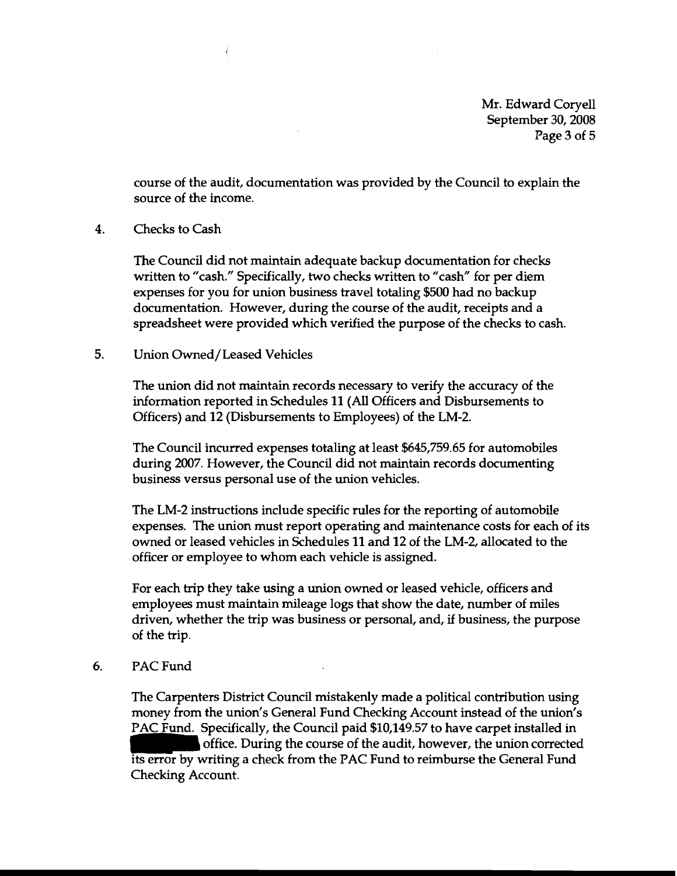Mr. Edward Coryell September 30, 2008 Page 3 of 5

course of the audit, documentation was provided by the Council to explain the source of the income.

4. Checks to Cash

The Council did not maintain adequate backup documentation for checks written to "cash." Specifically, two checks written to "cash" for per diem expenses for you for union business travel totaling \$500 had no backup documentation. However, during the course of the audit, receipts and a spreadsheet were provided which verified the purpose of the checks to cash.

## 5, Union Owned/Leased Vehicles

Í

The union did not maintain records necessary to verify the accuracy of the information reported in Schedules **11** (All Officers and Disbursements to Officers) and 12 (Disbursements to Employees) of the LM-2.

The Council incurred expenses totaling at least \$645,759.65 for automobiles during 2007. However, the Council did not maintain records documenting business versus personal use of the union vehicles.

The LM-2 instructions include specific rules for the reporting of automobile expenses. The union must report operating and maintenance costs for each of its owned or leased vehicles in Schedules 11 and 12 of the LM-2, allocated to the officer or employee to whom each vehicle is assigned.

For each trip they take using a union owned or leased vehicle, officers and employees must maintain mileage logs that show the date, number of miles driven, whether the trip was business or personal, and, if business, the purpose of the trip,

## 6. PAC Fund

The Carpenters District Council mistakenly made a political contribution using money from the union's General Fund Checking Account instead of the union's PAC Fund. Specifically, the Council paid \$10,149.57 to have carpet installed in office. During the course of the audit, however, the union corrected its error by writing a check from the PAC Fund to reimburse the General Fund Checking Account.